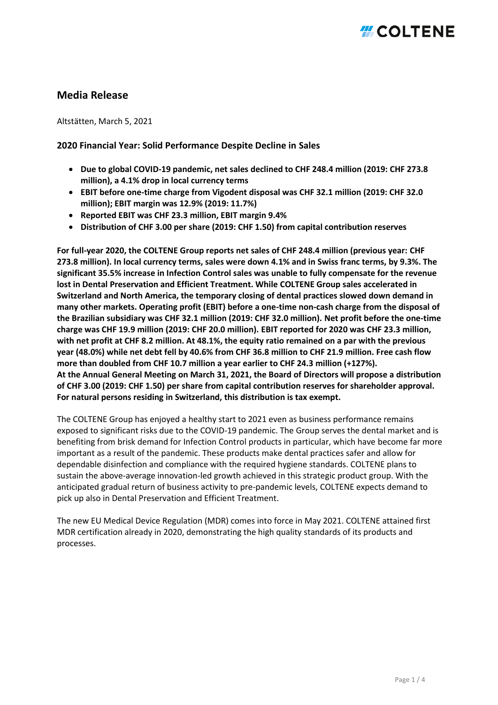## **Media Release**

Altstätten, March 5, 2021

### **2020 Financial Year: Solid Performance Despite Decline in Sales**

- **Due to global COVID-19 pandemic, net sales declined to CHF 248.4 million (2019: CHF 273.8 million), a 4.1% drop in local currency terms**
- **EBIT before one-time charge from Vigodent disposal was CHF 32.1 million (2019: CHF 32.0 million); EBIT margin was 12.9% (2019: 11.7%)**
- **Reported EBIT was CHF 23.3 million, EBIT margin 9.4%**
- **Distribution of CHF 3.00 per share (2019: CHF 1.50) from capital contribution reserves**

**For full-year 2020, the COLTENE Group reports net sales of CHF 248.4 million (previous year: CHF 273.8 million). In local currency terms, sales were down 4.1% and in Swiss franc terms, by 9.3%. The significant 35.5% increase in Infection Control sales was unable to fully compensate for the revenue lost in Dental Preservation and Efficient Treatment. While COLTENE Group sales accelerated in Switzerland and North America, the temporary closing of dental practices slowed down demand in many other markets. Operating profit (EBIT) before a one-time non-cash charge from the disposal of the Brazilian subsidiary was CHF 32.1 million (2019: CHF 32.0 million). Net profit before the one-time charge was CHF 19.9 million (2019: CHF 20.0 million). EBIT reported for 2020 was CHF 23.3 million, with net profit at CHF 8.2 million. At 48.1%, the equity ratio remained on a par with the previous year (48.0%) while net debt fell by 40.6% from CHF 36.8 million to CHF 21.9 million. Free cash flow more than doubled from CHF 10.7 million a year earlier to CHF 24.3 million (+127%). At the Annual General Meeting on March 31, 2021, the Board of Directors will propose a distribution of CHF 3.00 (2019: CHF 1.50) per share from capital contribution reserves for shareholder approval. For natural persons residing in Switzerland, this distribution is tax exempt.**

The COLTENE Group has enjoyed a healthy start to 2021 even as business performance remains exposed to significant risks due to the COVID-19 pandemic. The Group serves the dental market and is benefiting from brisk demand for Infection Control products in particular, which have become far more important as a result of the pandemic. These products make dental practices safer and allow for dependable disinfection and compliance with the required hygiene standards. COLTENE plans to sustain the above-average innovation-led growth achieved in this strategic product group. With the anticipated gradual return of business activity to pre-pandemic levels, COLTENE expects demand to pick up also in Dental Preservation and Efficient Treatment.

The new EU Medical Device Regulation (MDR) comes into force in May 2021. COLTENE attained first MDR certification already in 2020, demonstrating the high quality standards of its products and processes.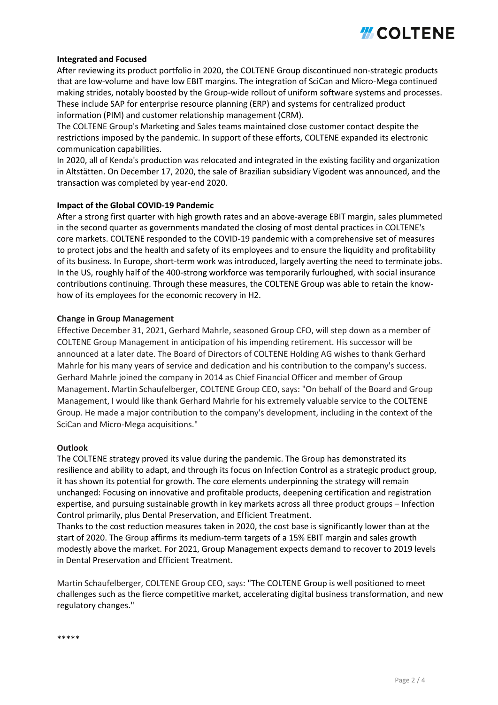# *H* COLTENE

### **Integrated and Focused**

After reviewing its product portfolio in 2020, the COLTENE Group discontinued non-strategic products that are low-volume and have low EBIT margins. The integration of SciCan and Micro-Mega continued making strides, notably boosted by the Group-wide rollout of uniform software systems and processes. These include SAP for enterprise resource planning (ERP) and systems for centralized product information (PIM) and customer relationship management (CRM).

The COLTENE Group's Marketing and Sales teams maintained close customer contact despite the restrictions imposed by the pandemic. In support of these efforts, COLTENE expanded its electronic communication capabilities.

In 2020, all of Kenda's production was relocated and integrated in the existing facility and organization in Altstätten. On December 17, 2020, the sale of Brazilian subsidiary Vigodent was announced, and the transaction was completed by year-end 2020.

### **Impact of the Global COVID-19 Pandemic**

After a strong first quarter with high growth rates and an above-average EBIT margin, sales plummeted in the second quarter as governments mandated the closing of most dental practices in COLTENE's core markets. COLTENE responded to the COVID-19 pandemic with a comprehensive set of measures to protect jobs and the health and safety of its employees and to ensure the liquidity and profitability of its business. In Europe, short-term work was introduced, largely averting the need to terminate jobs. In the US, roughly half of the 400-strong workforce was temporarily furloughed, with social insurance contributions continuing. Through these measures, the COLTENE Group was able to retain the knowhow of its employees for the economic recovery in H2.

### **Change in Group Management**

Effective December 31, 2021, Gerhard Mahrle, seasoned Group CFO, will step down as a member of COLTENE Group Management in anticipation of his impending retirement. His successor will be announced at a later date. The Board of Directors of COLTENE Holding AG wishes to thank Gerhard Mahrle for his many years of service and dedication and his contribution to the company's success. Gerhard Mahrle joined the company in 2014 as Chief Financial Officer and member of Group Management. Martin Schaufelberger, COLTENE Group CEO, says: "On behalf of the Board and Group Management, I would like thank Gerhard Mahrle for his extremely valuable service to the COLTENE Group. He made a major contribution to the company's development, including in the context of the SciCan and Micro-Mega acquisitions."

### **Outlook**

The COLTENE strategy proved its value during the pandemic. The Group has demonstrated its resilience and ability to adapt, and through its focus on Infection Control as a strategic product group, it has shown its potential for growth. The core elements underpinning the strategy will remain unchanged: Focusing on innovative and profitable products, deepening certification and registration expertise, and pursuing sustainable growth in key markets across all three product groups – Infection Control primarily, plus Dental Preservation, and Efficient Treatment.

Thanks to the cost reduction measures taken in 2020, the cost base is significantly lower than at the start of 2020. The Group affirms its medium-term targets of a 15% EBIT margin and sales growth modestly above the market. For 2021, Group Management expects demand to recover to 2019 levels in Dental Preservation and Efficient Treatment.

Martin Schaufelberger, COLTENE Group CEO, says: "The COLTENE Group is well positioned to meet challenges such as the fierce competitive market, accelerating digital business transformation, and new regulatory changes."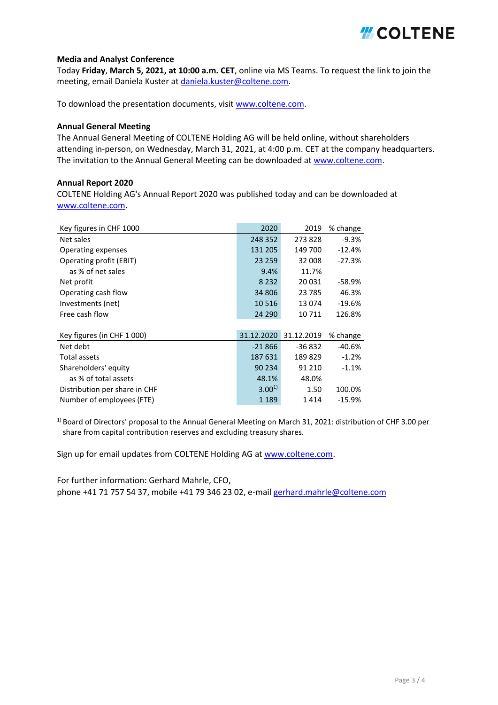# **HICOLTENE**

### **Media and Analyst Conference**

Today **Friday**, **March 5, 2021, at 10:00 a.m. CET**, online via MS Teams. To request the link to join the meeting, email Daniela Kuster at [daniela.kuster@coltene.com.](mailto:daniela.kuster@coltene.com)

To download the presentation documents, visit [www.coltene.com.](https://global.coltene.com/investor-relations/financial-publications/presentations/)

### **Annual General Meeting**

The Annual General Meeting of COLTENE Holding AG will be held online, without shareholders attending in-person, on Wednesday, March 31, 2021, at 4:00 p.m. CET at the company headquarters. The invitation to the Annual General Meeting can be downloaded at [www.coltene.com.](https://global.coltene.com/investor-relations/annual-general-meeting/)

### **Annual Report 2020**

COLTENE Holding AG's Annual Report 2020 was published today and can be downloaded at [www.coltene.com.](https://global.coltene.com/investor-relations/financial-publications/annual-reports/)

| Key figures in CHF 1000       | 2020       | 2019       | % change |
|-------------------------------|------------|------------|----------|
| Net sales                     | 248 352    | 273828     | $-9.3%$  |
| Operating expenses            | 131 205    | 149 700    | $-12.4%$ |
| Operating profit (EBIT)       | 23 259     | 32 008     | $-27.3%$ |
| as % of net sales             | 9.4%       | 11.7%      |          |
| Net profit                    | 8 2 3 2    | 20 031     | -58.9%   |
| Operating cash flow           | 34 806     | 23 785     | 46.3%    |
| Investments (net)             | 10 5 16    | 13 074     | $-19.6%$ |
| Free cash flow                | 24 290     | 10 711     | 126.8%   |
|                               |            |            |          |
| Key figures (in CHF 1 000)    | 31.12.2020 | 31.12.2019 | % change |
| Net debt                      | $-21866$   | -36 832    | -40.6%   |
| Total assets                  | 187 631    | 189829     | $-1.2%$  |
| Shareholders' equity          | 90 234     | 91 210     | $-1.1%$  |
| as % of total assets          | 48.1%      | 48.0%      |          |
| Distribution per share in CHF | $3.00^{1}$ | 1.50       | 100.0%   |
| Number of employees (FTE)     | 1 1 8 9    | 1414       | $-15.9%$ |

 $1)$  Board of Directors' proposal to the Annual General Meeting on March 31, 2021: distribution of CHF 3.00 per share from capital contribution reserves and excluding treasury shares.

Sign up for email updates from COLTENE Holding AG at [www.coltene.com.](https://www.coltene.com/investor-relations/investor-newsletter/)

For further information: Gerhard Mahrle, CFO, phone +41 71 757 54 37, mobile +41 79 346 23 02, e-mail [gerhard.mahrle@coltene.com](mailto:gerhard.mahrle@coltene.com)